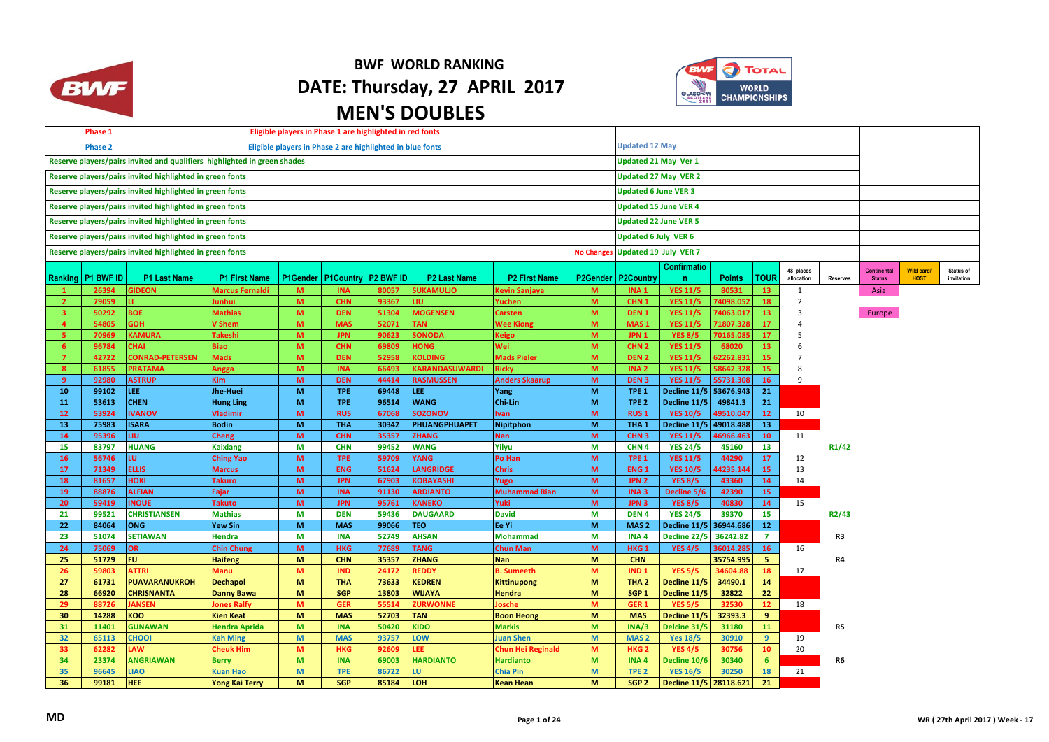

## **BWF WORLD RANKING DATE: Thursday, 27 APRIL 2017 MEN'S DOUBLES**



|                                                          | Eligible players in Phase 1 are highlighted in red fonts<br>Phase 1<br>Eligible players in Phase 2 are highlighted in blue fonts |                                                                          |                              |                                  |                                  |                |                          |                          |        |                                      |                                        |                        |                 |                       |                 |               |                   |            |
|----------------------------------------------------------|----------------------------------------------------------------------------------------------------------------------------------|--------------------------------------------------------------------------|------------------------------|----------------------------------|----------------------------------|----------------|--------------------------|--------------------------|--------|--------------------------------------|----------------------------------------|------------------------|-----------------|-----------------------|-----------------|---------------|-------------------|------------|
|                                                          | <b>Phase 2</b>                                                                                                                   |                                                                          | <b>Updated 12 May</b>        |                                  |                                  |                |                          |                          |        |                                      |                                        |                        |                 |                       |                 |               |                   |            |
|                                                          |                                                                                                                                  | Reserve players/pairs invited and qualifiers highlighted in green shades |                              | <b>Updated 21 May Ver 1</b>      |                                  |                |                          |                          |        |                                      |                                        |                        |                 |                       |                 |               |                   |            |
|                                                          |                                                                                                                                  | Reserve players/pairs invited highlighted in green fonts                 |                              |                                  | <b>Updated 27 May VER 2</b>      |                |                          |                          |        |                                      |                                        |                        |                 |                       |                 |               |                   |            |
|                                                          |                                                                                                                                  | Reserve players/pairs invited highlighted in green fonts                 |                              | <b>Updated 6 June VER 3</b>      |                                  |                |                          |                          |        |                                      |                                        |                        |                 |                       |                 |               |                   |            |
|                                                          |                                                                                                                                  | Reserve players/pairs invited highlighted in green fonts                 |                              | <b>Updated 15 June VER 4</b>     |                                  |                |                          |                          |        |                                      |                                        |                        |                 |                       |                 |               |                   |            |
|                                                          |                                                                                                                                  | Reserve players/pairs invited highlighted in green fonts                 |                              | <b>Updated 22 June VER 5</b>     |                                  |                |                          |                          |        |                                      |                                        |                        |                 |                       |                 |               |                   |            |
|                                                          |                                                                                                                                  | Reserve players/pairs invited highlighted in green fonts                 |                              |                                  |                                  |                |                          |                          |        | <b>Updated 6 July VER 6</b>          |                                        |                        |                 |                       |                 |               |                   |            |
|                                                          |                                                                                                                                  |                                                                          |                              | No Changes Updated 19 July VER 7 |                                  |                |                          |                          |        |                                      |                                        |                        |                 |                       |                 |               |                   |            |
| Reserve players/pairs invited highlighted in green fonts |                                                                                                                                  |                                                                          |                              |                                  |                                  |                |                          |                          |        |                                      |                                        |                        |                 |                       |                 |               |                   |            |
|                                                          |                                                                                                                                  |                                                                          |                              |                                  |                                  |                |                          |                          |        |                                      | Confirmatio                            |                        |                 | 48 places             |                 | Continental   | <b>Wild card/</b> | Status of  |
|                                                          | <b>Ranking   P1 BWF ID</b>                                                                                                       | <b>P1 Last Name</b>                                                      | <b>P1 First Name</b>         |                                  | P1Gender   P1Country   P2 BWF ID |                | <b>P2 Last Name</b>      | <b>P2 First Name</b>     |        | P2Gender   P2Country                 | $\mathsf{n}$                           | <b>Points</b>          | <b>TOUR</b>     | allocation            | <b>Reserves</b> | <b>Status</b> | <b>HOST</b>       | invitation |
| -1                                                       | 26394                                                                                                                            | <b>GIDEON</b>                                                            | Marcus Fernaldi              | M                                | <b>INA</b>                       | 80057          | <b>SUKAMULJO</b>         | <b>Kevin Sanjaya</b>     | M      | INA <sub>1</sub>                     | <b>YES 11/5</b>                        | 80531                  | 13              | $\mathbf{1}$          |                 | Asia          |                   |            |
| $\overline{2}$                                           | 79059                                                                                                                            |                                                                          | lunhui                       | M                                | <b>CHN</b>                       | 93367          | LIU.                     | Yuchen                   | M      | CHN <sub>1</sub>                     | <b>YES 11/5</b>                        | 74098.052              | 18              | $\overline{2}$        |                 |               |                   |            |
| $\overline{3}$                                           | 50292                                                                                                                            | <b>BOE</b>                                                               | <b>Mathias</b>               | M                                | <b>DEN</b>                       | 51304          | <b>MOGENSEN</b>          | Carsten                  | M      | DEN <sub>1</sub>                     | <b>YES 11/5</b>                        | 74063.017              | 13 <sup>°</sup> | 3                     |                 | Europe        |                   |            |
| $\overline{a}$                                           | 54805                                                                                                                            | <b>HOE</b>                                                               | V Shem                       | M                                | <b>MAS</b>                       | 52071          | <b>TAN</b>               | <b>Wee Kiong</b>         | M      | MAS <sub>1</sub>                     | <b>YES 11/5</b>                        | 71807.328              | 17              | $\overline{4}$        |                 |               |                   |            |
| 5 <sup>7</sup>                                           | 70969                                                                                                                            | <b>KAMURA</b>                                                            | <b>Takeshi</b>               | M                                | <b>JPN</b>                       | 90623          | SONODA                   | Keigo                    | M      | JPN <sub>1</sub>                     | <b>YES 8/5</b>                         | 70165.08               | 17              | 5                     |                 |               |                   |            |
| 6 <sup>1</sup>                                           | 96784                                                                                                                            | <b>CHAI</b>                                                              | Biao                         | M<br>M                           | <b>CHN</b>                       | 69809          | <b>HONG</b>              | Wei                      | M      | CHN <sub>2</sub>                     | <b>YES 11/5</b>                        | 68020                  | 13 <sup>°</sup> | 6                     |                 |               |                   |            |
| 7 <sup>7</sup>                                           | 42722                                                                                                                            | <b>CONRAD-PETERSEN</b>                                                   | <b>Mads</b>                  | M                                | <b>DEN</b>                       | 52958          | <b>KOLDING</b>           | <b>Mads Pieler</b>       | M<br>M | DEN <sub>2</sub>                     | <b>YES 11/5</b>                        | 62262.831              | 15<br>15        |                       |                 |               |                   |            |
| 8 <sup>1</sup>                                           | 61855                                                                                                                            | <b>PRATAMA</b>                                                           | Angga                        |                                  | <b>INA</b>                       | 66493          | <b>KARANDASUWARDI</b>    | Ricky                    |        | INA <sub>2</sub>                     | <b>YES 11/5</b>                        | 58642.328              |                 | $\mathsf{\mathsf{R}}$ |                 |               |                   |            |
| $9^{\circ}$<br>10                                        | 92980                                                                                                                            | <b>ASTRUP</b><br>LEE.                                                    | Kim                          | M<br>M                           | <b>DEN</b>                       | 44414          | <b>RASMUSSEN</b><br>LEE. | <b>Anders Skaarup</b>    | M      | DEN <sub>3</sub>                     | <b>YES 11/5</b>                        | 55731.308              | 16              | 9                     |                 |               |                   |            |
| 11                                                       | 99102<br>53613                                                                                                                   | <b>CHEN</b>                                                              | Jhe-Huei                     | M                                | <b>TPE</b><br><b>TPE</b>         | 69448<br>96514 | <b>WANG</b>              | Yang<br>Chi-Lin          | M<br>M | TPE <sub>1</sub><br>TPE <sub>2</sub> | Decline 11/5 53676.943<br>Decline 11/5 | 49841.3                | 21<br>21        |                       |                 |               |                   |            |
| 12                                                       |                                                                                                                                  | <b>IVANOV</b>                                                            | <b>Hung Ling</b><br>Vladimir | M                                | <b>RUS</b>                       |                | <b>SOZONOV</b>           | <b>Ivan</b>              | M      | <b>RUS1</b>                          | <b>YES 10/5</b>                        |                        | 12              | 10                    |                 |               |                   |            |
| 13 <sub>1</sub>                                          | 53924<br>75983                                                                                                                   | <b>ISARA</b>                                                             | <b>Bodin</b>                 | M                                | <b>THA</b>                       | 67068<br>30342 | <b>PHUANGPHUAPET</b>     | <b>Nipitphon</b>         | M      | THA <sub>1</sub>                     | Decline 11/5                           | 49510.047<br>49018.488 | 13              |                       |                 |               |                   |            |
| 14                                                       | 95396                                                                                                                            | LIU.                                                                     |                              | M                                | <b>CHN</b>                       | 35357          | <b>ZHANG</b>             | <b>Nan</b>               | M      | CHN <sub>3</sub>                     | <b>YES 11/5</b>                        | 46966.463              | 10              | 11                    |                 |               |                   |            |
| 15                                                       | 83797                                                                                                                            | <b>HUANG</b>                                                             | Cheng<br><b>Kaixiang</b>     | M                                | <b>CHN</b>                       | 99452          | <b>WANG</b>              | Yilyu                    | M      | CHN <sub>4</sub>                     | <b>YES 24/5</b>                        | 45160                  | 13              |                       | R1/42           |               |                   |            |
| 16                                                       | 56746                                                                                                                            | LU.                                                                      | <b>Ching Yao</b>             | M                                | <b>TPE</b>                       | 59709          | <b>YANG</b>              | Po Han                   | M      | TPE <sub>1</sub>                     | <b>YES 11/5</b>                        | 44290                  | 17              | 12                    |                 |               |                   |            |
| 17                                                       | 71349                                                                                                                            | <b>ELLIS</b>                                                             | <b>Marcus</b>                | M                                | <b>ENG</b>                       | 51624          | <b>LANGRIDGE</b>         | <b>Chris</b>             | M      | <b>ENG1</b>                          | <b>YES 10/5</b>                        | 44235.144              | 15              | 13                    |                 |               |                   |            |
| 18                                                       | 81657                                                                                                                            | <b>HOKI</b>                                                              | <b>Takuro</b>                | M                                | <b>JPN</b>                       | 67903          | <b>KOBAYASHI</b>         | Yugo                     | M      | JPN <sub>2</sub>                     | <b>YES 8/5</b>                         | 43360                  | 14              | 14                    |                 |               |                   |            |
| 19                                                       | 88876                                                                                                                            | <b>ALFIAN</b>                                                            | Fajar                        | M                                | <b>INA</b>                       | 91130          | <b>ARDIANTO</b>          | <b>Muhammad Rian</b>     | M      | INA <sub>3</sub>                     | Decline 5/6                            | 42390                  | 15              |                       |                 |               |                   |            |
| 20                                                       | 59419                                                                                                                            | <b>INOUE</b>                                                             | Takuto                       | M                                | <b>JPN</b>                       | 95761          | <b>KANEKO</b>            | Yuki                     | M      | JPN <sub>3</sub>                     | <b>YES 8/5</b>                         | 40830                  | 14              | 15                    |                 |               |                   |            |
| 21                                                       | 99521                                                                                                                            | <b>CHRISTIANSEN</b>                                                      | <b>Mathias</b>               | M                                | <b>DEN</b>                       | 59436          | <b>DAUGAARD</b>          | <b>David</b>             | M      | DEN <sub>4</sub>                     | <b>YES 24/5</b>                        | 39370                  | 15              |                       | R2/43           |               |                   |            |
| 22                                                       | 84064                                                                                                                            | <b>ONG</b>                                                               | <b>Yew Sin</b>               | M                                | <b>MAS</b>                       | 99066          | <b>TEO</b>               | Ee Yi                    | M      | MAS <sub>2</sub>                     | Decline 11/5 36944.686                 |                        | 12              |                       |                 |               |                   |            |
| 23                                                       | 51074                                                                                                                            | <b>SETIAWAN</b>                                                          | Hendra                       | M                                | <b>INA</b>                       | 52749          | <b>AHSAN</b>             | <b>Mohammad</b>          | M      | INA <sub>4</sub>                     | Decline 22/5                           | 36242.82               | $\mathbf{7}$    |                       | R <sub>3</sub>  |               |                   |            |
| 24                                                       | 75069                                                                                                                            | OR                                                                       | <b>Chin Chung</b>            | M                                | <b>HKG</b>                       | 77689          | <b>TANG</b>              | <b>Chun Man</b>          | M      | HKG <sub>1</sub>                     | <b>YES 4/5</b>                         | 36014.285              | 16              | 16                    |                 |               |                   |            |
| 25                                                       | 51729                                                                                                                            | <b>FU</b>                                                                | Haifeng                      | M                                | <b>CHN</b>                       | 35357          | <b>ZHANG</b>             | <b>Nan</b>               | M      | <b>CHN</b>                           |                                        | 35754.995              | 5 <sub>1</sub>  |                       | R4              |               |                   |            |
| 26                                                       | 59803                                                                                                                            | <b>ATTRI</b>                                                             | Manu                         | M                                | <b>IND</b>                       | 24172          | REDDY                    | <b>B. Sumeeth</b>        | M      | IND <sub>1</sub>                     | <b>YES 5/5</b>                         | 34604.88               | 18              | 17                    |                 |               |                   |            |
| 27                                                       | 61731                                                                                                                            | <b>PUAVARANUKROH</b>                                                     | <b>Dechapol</b>              | M                                | <b>THA</b>                       | 73633          | <b>KEDREN</b>            | <b>Kittinupong</b>       | M      | THA <sub>2</sub>                     | Decline 11/5                           | 34490.1                | 14              |                       |                 |               |                   |            |
| 28                                                       | 66920                                                                                                                            | <b>CHRISNANTA</b>                                                        | Danny Bawa                   | M                                | <b>SGP</b>                       | 13803          | <b>WIJAYA</b>            | <b>Hendra</b>            | M      | SGP <sub>1</sub>                     | Decline 11/5                           | 32822                  | 22              |                       |                 |               |                   |            |
| 29                                                       | 88726                                                                                                                            | <b>JANSEN</b>                                                            | <b>Jones Ralfy</b>           | M                                | <b>GER</b>                       | 55514          | <b>ZURWONNE</b>          | osche                    | M      | GER <sub>1</sub>                     | <b>YES 5/5</b>                         | 32530                  | 12 <sup>7</sup> | 18                    |                 |               |                   |            |
| 30                                                       | 14288                                                                                                                            | <b>KOO</b>                                                               | Kien Keat                    | M                                | <b>MAS</b>                       | 52703          | <b>TAN</b>               | <b>Boon Heong</b>        | M      | <b>MAS</b>                           | Decline 11/5                           | 32393.3                | 9               |                       |                 |               |                   |            |
| 31                                                       | 11401                                                                                                                            | <b>GUNAWAN</b>                                                           | <b>Hendra Aprida</b>         | M                                | <b>INA</b>                       | 50420          | <b>KIDO</b>              | <b>Markis</b>            | M      | INA/3                                | Delcine 31/5                           | 31180                  | 11              |                       | R5              |               |                   |            |
| 32                                                       | 65113                                                                                                                            | <b>CHOOI</b>                                                             | <b>Kah Ming</b>              | M                                | <b>MAS</b>                       | 93757          | LOW                      | <b>Juan Shen</b>         | M      | MAS <sub>2</sub>                     | <b>Yes 18/5</b>                        | 30910                  | 9               | 19                    |                 |               |                   |            |
| 33                                                       | 62282                                                                                                                            | <b>AW</b>                                                                | <b>Cheuk Him</b>             | M                                | <b>HKG</b>                       | 92609          | LEE.                     | <b>Chun Hei Reginald</b> | M      | HKG <sub>2</sub>                     | <b>YES 4/5</b>                         | 30756                  | 10 <sup>°</sup> | 20                    |                 |               |                   |            |
| 34                                                       | 23374                                                                                                                            | <b>ANGRIAWAN</b>                                                         | <b>Berry</b>                 | M                                | <b>INA</b>                       | 69003          | <b>HARDIANTO</b>         | <b>Hardianto</b>         | M      | INA4                                 | Decline 10/6                           | 30340                  | 6               |                       | R6              |               |                   |            |
| 35                                                       | 96645                                                                                                                            | <b>LIAO</b>                                                              | <b>Kuan Hao</b>              | M                                | <b>TPE</b>                       | 86722          | LU.                      | <b>Chia Pin</b>          | M      | TPE <sub>2</sub>                     | <b>YES 16/5</b>                        | 30250                  | 18              | 21                    |                 |               |                   |            |
| 36                                                       | 99181                                                                                                                            | <b>HEE</b>                                                               | <b>Yong Kai Terry</b>        | M                                | <b>SGP</b>                       | 85184          | LOH                      | <b>Kean Hean</b>         | M      | SGP <sub>2</sub>                     | Decline 11/5 28118.621                 |                        | 21              |                       |                 |               |                   |            |
|                                                          |                                                                                                                                  |                                                                          |                              |                                  |                                  |                |                          |                          |        |                                      |                                        |                        |                 |                       |                 |               |                   |            |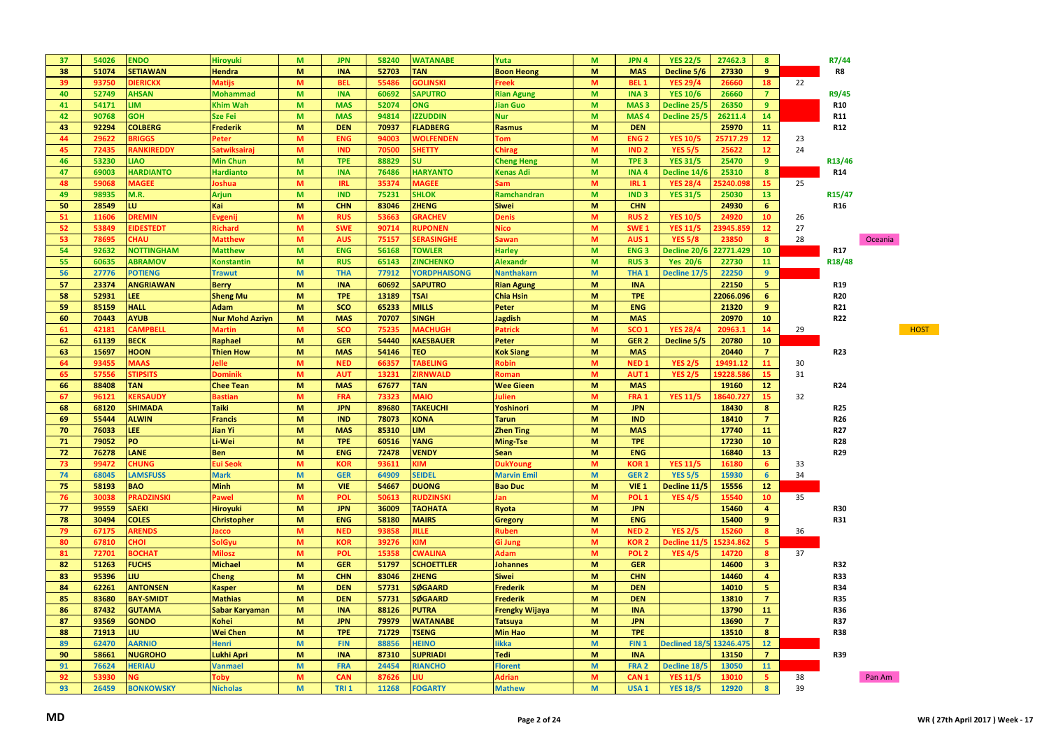| 37 | 54026 | <b>ENDO</b>       | Hiroyuki               | M                   | <b>JPN</b>  | 58240 | <b>WATANABE</b>        | Yuta                  | M            | JPN 4            | <b>YES 22/5</b>      | 27462.3   | 8                       |    | R7/44               |             |
|----|-------|-------------------|------------------------|---------------------|-------------|-------|------------------------|-----------------------|--------------|------------------|----------------------|-----------|-------------------------|----|---------------------|-------------|
| 38 | 51074 | <b>SETIAWAN</b>   | <b>Hendra</b>          | M                   | <b>INA</b>  | 52703 | <b>TAN</b>             | <b>Boon Heong</b>     | M            | <b>MAS</b>       | Decline 5/6          | 27330     | 9                       |    | R8                  |             |
| 39 | 93750 | <b>DIERICKX</b>   | <b>Matijs</b>          | M                   | <b>BEL</b>  | 55486 | <b>GOLINSKI</b>        | <sup>∶</sup> reek     | M            | BEL <sub>1</sub> | <b>YES 29/4</b>      | 26660     | 18                      | 22 |                     |             |
| 40 | 52749 | <b>AHSAN</b>      | Mohammad               | M                   | <b>INA</b>  | 60692 | <b>SAPUTRO</b>         | <b>Rian Agung</b>     | M            | INA <sub>3</sub> | <b>YES 10/6</b>      | 26660     | $\overline{7}$          |    | R9/45               |             |
| 41 | 54171 | LIM <sub></sub>   | <b>Khim Wah</b>        | M                   | <b>MAS</b>  | 52074 | <b>ONG</b>             | <b>Jian Guo</b>       | M            | MAS <sub>3</sub> | Decline 25/!         | 26350     | 9                       |    | <b>R10</b>          |             |
| 42 | 90768 | <b>GOH</b>        | Sze Fei                | M                   | <b>MAS</b>  | 94814 | <b>IZZUDDIN</b>        | <b>Nur</b>            | M            | MAS <sub>4</sub> | Decline 25/!         | 26211.4   | 14                      |    | <b>R11</b>          |             |
| 43 | 92294 | <b>COLBERG</b>    | <b>Frederik</b>        | M                   | <b>DEN</b>  | 70937 | <b>FLADBERG</b>        | <b>Rasmus</b>         | M            | <b>DEN</b>       |                      | 25970     | 11                      |    | R12                 |             |
| 44 | 29622 | <b>BRIGGS</b>     | Peter                  | M                   | <b>ENG</b>  | 94003 | <b>WOLFENDEN</b>       | <b>Tom</b>            | M            | ENG <sub>2</sub> | <b>YES 10/5</b>      | 25717.2   | 12 <sup>2</sup>         | 23 |                     |             |
| 45 | 72435 | RANKIREDDY        | Satwiksairaj           | M                   | <b>IND</b>  | 70500 | <b>SHETTY</b>          | <b>Chirag</b>         | M            | IND <sub>2</sub> | <b>YES 5/5</b>       | 25622     | 12 <sup>2</sup>         | 24 |                     |             |
| 46 | 53230 | <b>LIAO</b>       | <b>Min Chun</b>        | M                   | <b>TPE</b>  | 88829 | <b>SU</b>              | <b>Cheng Heng</b>     | M            | TPE <sub>3</sub> | <b>YES 31/5</b>      | 25470     | 9 <sup>°</sup>          |    | R13/46              |             |
| 47 | 69003 | <b>HARDIANTO</b>  | <b>Hardianto</b>       | M                   | <b>INA</b>  | 76486 | <b>HARYANTO</b>        | Kenas Adi             | M            | INA <sub>4</sub> | Decline 14/          | 25310     | 8                       |    | <b>R14</b>          |             |
| 48 | 59068 | <b>MAGEE</b>      | <b>Joshua</b>          | M                   | <b>IRL</b>  | 35374 | <b>MAGEE</b>           |                       | M            | <b>IRL 1</b>     | <b>YES 28/4</b>      | 5240.09   | 15                      | 25 |                     |             |
| 49 | 98935 |                   |                        | M                   | <b>IND</b>  | 75231 |                        | sam                   | $\mathsf{M}$ |                  |                      |           |                         |    |                     |             |
|    |       | M.R.              | <b>Arjun</b>           |                     |             |       | <b>SHLOK</b>           | Ramchandran           |              | IND <sub>3</sub> | <b>YES 31/5</b>      | 25030     | 13                      |    | R <sub>15</sub> /47 |             |
| 50 | 28549 | LU.               | Kai                    | M                   | <b>CHN</b>  | 83046 | <b>ZHENG</b>           | <b>Siwei</b>          | ${\sf M}$    | <b>CHN</b>       |                      | 24930     | 6                       |    | R <sub>16</sub>     |             |
| 51 | 11606 | <b>DREMIN</b>     | Evgenij                | M                   | <b>RUS</b>  | 53663 | <b>GRACHEV</b>         | <b>Denis</b>          | M            | <b>RUS2</b>      | <b>YES 10/5</b>      | 24920     | 10 <sup>°</sup>         | 26 |                     |             |
| 52 | 53849 | <b>EIDESTEDT</b>  | Richard                | M                   | <b>SWE</b>  | 90714 | <b>RUPONEN</b>         | Vico                  | $\mathsf{M}$ | SWE <sub>1</sub> | <b>YES 11/5</b>      | 23945.8   | 12                      | 27 |                     |             |
| 53 | 78695 | <b>UAH</b>        | <b>Matthew</b>         | M                   | <b>AUS</b>  | 75157 | <b>SERASINGHE</b>      | awan                  | M            | AUS <sub>1</sub> | <b>YES 5/8</b>       | 23850     | 8                       | 28 |                     | Oceania     |
| 54 | 92632 | <b>NOTTINGHAM</b> | <b>Matthew</b>         | M                   | <b>ENG</b>  | 56168 | <b>TOWLER</b>          | <b>Harley</b>         | M            | <b>ENG3</b>      | Decline 20/6         | 22771.429 | 10                      |    | R17                 |             |
| 55 | 60635 | <b>ABRAMOV</b>    | <b>Konstantin</b>      | M                   | <b>RUS</b>  | 65143 | <b>ZINCHENKO</b>       | <b>Alexandr</b>       | M            | <b>RUS3</b>      | <b>Yes 20/6</b>      | 22730     | 11                      |    | R18/48              |             |
| 56 | 27776 | <b>POTIENG</b>    | <b>Trawut</b>          | M                   | <b>THA</b>  | 77912 | <b>YORDPHAISONG</b>    | <b>Nanthakarn</b>     | M            | THA <sub>1</sub> | Decline 17/5         | 22250     | 9 <sup>°</sup>          |    |                     |             |
| 57 | 23374 | <b>ANGRIAWAN</b>  | <b>Berry</b>           | M                   | <b>INA</b>  | 60692 | <b>SAPUTRO</b>         | <b>Rian Agung</b>     | M            | <b>INA</b>       |                      | 22150     | 5                       |    | R <sub>19</sub>     |             |
| 58 | 52931 | LEE.              | <b>Sheng Mu</b>        | M                   | <b>TPE</b>  | 13189 | <b>TSAI</b>            | <b>Chia Hsin</b>      | M            | <b>TPE</b>       |                      | 22066.096 | 6                       |    | <b>R20</b>          |             |
| 59 | 85159 | <b>HALL</b>       | <b>Adam</b>            | M                   | <b>SCO</b>  | 65233 | <b>MILLS</b>           | Peter                 | M            | <b>ENG</b>       |                      | 21320     | 9                       |    | R <sub>21</sub>     |             |
| 60 | 70443 | <b>AYUB</b>       | <b>Nur Mohd Azriyn</b> | M                   | <b>MAS</b>  | 70707 | SINGH                  | <b>Jagdish</b>        | M            | <b>MAS</b>       |                      | 20970     | 10                      |    | R <sub>22</sub>     |             |
| 61 | 42181 | <b>CAMPBELL</b>   | <b>Martin</b>          | M                   | <b>SCO</b>  | 75235 | <b>MACHUGH</b>         | Patrick               | M            | SCO <sub>1</sub> | <b>YES 28/4</b>      | 20963.1   | 14                      | 29 |                     | <b>HOST</b> |
| 62 | 61139 | <b>BECK</b>       | Raphael                | M                   | <b>GER</b>  | 54440 | <b>KAESBAUER</b>       | Peter                 | M            | GER <sub>2</sub> | Decline 5/5          | 20780     | 10                      |    |                     |             |
| 63 | 15697 | <b>HOON</b>       | <b>Thien How</b>       | M                   | <b>MAS</b>  | 54146 | <b>TEO</b>             | <b>Kok Siang</b>      | ${\sf M}$    | <b>MAS</b>       |                      | 20440     | $\overline{7}$          |    | R23                 |             |
| 64 | 93455 | <b>MAAS</b>       | lelle                  | M                   | <b>NED</b>  | 66357 | <b><i>TABELING</i></b> | <b>Robin</b>          | M            | NED <sub>1</sub> | <b>YES 2/5</b>       | 19491.12  | 11                      | 30 |                     |             |
| 65 | 57556 | <b>STIPSITS</b>   | Dominik                | M                   | <b>AUT</b>  | 13231 | <b>ZIRNWALD</b>        | Roman                 | M            | <b>AUT1</b>      | <b>YES 2/5</b>       | 19228.58  | 15                      | 31 |                     |             |
|    |       |                   |                        |                     |             |       |                        |                       |              |                  |                      |           |                         |    |                     |             |
| 66 | 88408 | <b>TAN</b>        | <b>Chee Tean</b>       | M                   | <b>MAS</b>  | 67677 | <b>TAN</b>             | <b>Wee Gieen</b>      | M            | <b>MAS</b>       |                      | 19160     | 12                      |    | R <sub>24</sub>     |             |
| 67 | 96121 | <b>KERSAUDY</b>   | Bastian                | M                   | FRA         | 73323 | <b>MAIO</b>            | ulien                 | M            | FRA 1            | <b>YES 11/5</b>      | 18640.72  | 15                      | 32 |                     |             |
| 68 | 68120 | <b>SHIMADA</b>    | <b>Taiki</b>           | M                   | <b>JPN</b>  | 89680 | <b>TAKEUCHI</b>        | Yoshinori             | M            | <b>JPN</b>       |                      | 18430     | 8                       |    | <b>R25</b>          |             |
| 69 | 55444 | <b>ALWIN</b>      | <b>Francis</b>         | M                   | <b>IND</b>  | 78073 | <b>KONA</b>            | <b>Tarun</b>          | M            | <b>IND</b>       |                      | 18410     | $\overline{7}$          |    | R <sub>26</sub>     |             |
| 70 | 76033 | LEE               | Jian Yi                | M                   | <b>MAS</b>  | 85310 | <b>LIM</b>             | <b>Zhen Ting</b>      | M            | <b>MAS</b>       |                      | 17740     | 11                      |    | R <sub>27</sub>     |             |
| 71 | 79052 | PO                | Li-Wei                 | M                   | <b>TPE</b>  | 60516 | <b>YANG</b>            | <b>Ming-Tse</b>       | M            | <b>TPE</b>       |                      | 17230     | 10                      |    | R <sub>28</sub>     |             |
| 72 | 76278 | <b>LANE</b>       | <b>Ben</b>             | M                   | <b>ENG</b>  | 72478 | <b>VENDY</b>           | Sean                  | M            | <b>ENG</b>       |                      | 16840     | 13                      |    | R29                 |             |
| 73 | 99472 | <b>CHUNG</b>      | Eui Seol               | M                   | <b>KOR</b>  | 93611 | <b>KIM</b>             | <b>DukYoun</b>        | M            | <b>KOR1</b>      | <b>YES 11/5</b>      | 16180     | 6                       | 33 |                     |             |
| 74 | 68045 | <b>LAMSFUSS</b>   | <b>Mark</b>            | M                   | <b>GER</b>  | 64909 | <b>SEIDEL</b>          | <b>Marvin Emil</b>    | M            | GER <sub>2</sub> | <b>YES 5/5</b>       | 15930     | 6 <sup>1</sup>          | 34 |                     |             |
| 75 | 58193 | <b>BAO</b>        | <b>Minh</b>            | M                   | <b>VIE</b>  | 54667 | <b>DUONG</b>           | <b>Bao Duc</b>        | M            | VIE <sub>1</sub> | Decline 11/!         | 15556     | 12 <sup>2</sup>         |    |                     |             |
| 76 | 30038 | PRADZINSKI        | Pawel                  | M                   | <b>POL</b>  | 50613 | <b>RUDZINSK</b>        | lan                   | M            | POL <sub>1</sub> | <b>YES 4/5</b>       | 15540     | 10                      | 35 |                     |             |
| 77 | 99559 | <b>SAEKI</b>      | <b>Hiroyuki</b>        | M                   | <b>JPN</b>  | 36009 | <b>TAOHATA</b>         | Ryota                 | M            | <b>JPN</b>       |                      | 15460     | $\overline{4}$          |    | <b>R30</b>          |             |
| 78 | 30494 | <b>COLES</b>      | <b>Christopher</b>     | M                   | <b>ENG</b>  | 58180 | <b>MAIRS</b>           | Gregory               | M            | <b>ENG</b>       |                      | 15400     | 9                       |    | R31                 |             |
| 79 | 67175 | <b>ARENDS</b>     | acco                   | M                   | <b>NED</b>  | 93858 | <b>IILLE</b>           | <b>Ruben</b>          | M            | NED <sub>2</sub> | <b>YES 2/5</b>       | 15260     | 8                       | 36 |                     |             |
| 80 | 67810 | <b>IOH:</b>       | <b>SolGyu</b>          | M                   | <b>KOR</b>  | 39276 | <b>KIM</b>             | Gi Jung               | M            | <b>KOR2</b>      | ecline 11/           | 15234.86  | 5                       |    |                     |             |
| 81 | 72701 | <b>BOCHAT</b>     | <b>Milosz</b>          | M                   | <b>POL</b>  | 15358 | <b>CWALINA</b>         | Adam                  | $\mathsf{M}$ | POL <sub>2</sub> | <b>YES 4/5</b>       | 14720     | 8                       | 37 |                     |             |
| 82 | 51263 | <b>FUCHS</b>      | <b>Michael</b>         | M                   | <b>GER</b>  | 51797 | <b>SCHOETTLER</b>      | <b>Johannes</b>       | M            | <b>GER</b>       |                      | 14600     | $\overline{\mathbf{3}}$ |    | <b>R32</b>          |             |
| 83 | 95396 | LIU.              | Cheng                  | M                   | <b>CHN</b>  | 83046 | <b>ZHENG</b>           | <b>Siwei</b>          | M            | <b>CHN</b>       |                      | 14460     | $\overline{\mathbf{4}}$ |    | <b>R33</b>          |             |
| 84 | 62261 | <b>ANTONSEN</b>   |                        | M                   | <b>DEN</b>  | 57731 |                        |                       | M            | <b>DEN</b>       |                      | 14010     | 5 <sup>1</sup>          |    | R34                 |             |
|    |       |                   | Kasper                 |                     |             |       | SØGAARD                | <b>Frederik</b>       |              |                  |                      |           | $\overline{7}$          |    |                     |             |
| 85 | 83680 | <b>BAY-SMIDT</b>  | <b>Mathias</b>         | M                   | <b>DEN</b>  | 57731 | <b>SØGAARD</b>         | <b>Frederik</b>       | M            | <b>DEN</b>       |                      | 13810     |                         |    | <b>R35</b>          |             |
| 86 | 87432 | <b>GUTAMA</b>     | Sabar Karyaman         | M                   | <b>INA</b>  | 88126 | <b>PUTRA</b>           | <b>Frengky Wijaya</b> | M            | <b>INA</b>       |                      | 13790     | ${\bf 11}$              |    | <b>R36</b>          |             |
| 87 | 93569 | <b>GONDO</b>      | <b>Kohei</b>           | M                   | <b>JPN</b>  | 79979 | <b>WATANABE</b>        | <b>Tatsuya</b>        | M            | <b>JPN</b>       |                      | 13690     | $\overline{7}$          |    | R37                 |             |
| 88 | 71913 | LIU               | <b>Wei Chen</b>        | M                   | <b>TPE</b>  | 71729 | <b>TSENG</b>           | <b>Min Hao</b>        | M            | <b>TPE</b>       |                      | 13510     | 8                       |    | <b>R38</b>          |             |
| 89 | 62470 | <b>AARNIO</b>     | Henri                  | M                   | <b>FIN</b>  | 88856 | <b>HEINO</b>           | likka                 | M            | FIN <sub>1</sub> | <b>Declined 18/5</b> | 13246.475 | 12                      |    |                     |             |
| 90 | 58661 | <b>NUGROHO</b>    | Lukhi Apri             | M                   | <b>INA</b>  | 87310 | <b>SUPRIADI</b>        | <b>Tedi</b>           | M            | <b>INA</b>       |                      | 13150     | $\overline{7}$          |    | <b>R39</b>          |             |
| 91 | 76624 | <b>HERIAU</b>     | <b>Vanmael</b>         | $\mathsf{M}\xspace$ | <b>FRA</b>  | 24454 | <b>RIANCHO</b>         | <b>Florent</b>        | M            | FRA <sub>2</sub> | Decline 18/!         | 13050     | 11                      |    |                     |             |
| 92 | 53930 | ٧G                | Toby                   | M                   | CAN         | 87626 | ш                      | Adrian                | M            | CAN <sub>1</sub> | <b>YES 11/5</b>      | 13010     | 5                       | 38 |                     | Pan Am      |
| 93 | 26459 | <b>BONKOWSKY</b>  | <b>Nicholas</b>        | M                   | <b>TRI1</b> | 11268 | <b>FOGARTY</b>         | <b>Mathew</b>         | M            | USA <sub>1</sub> | <b>YES 18/5</b>      | 12920     | 8                       | 39 |                     |             |